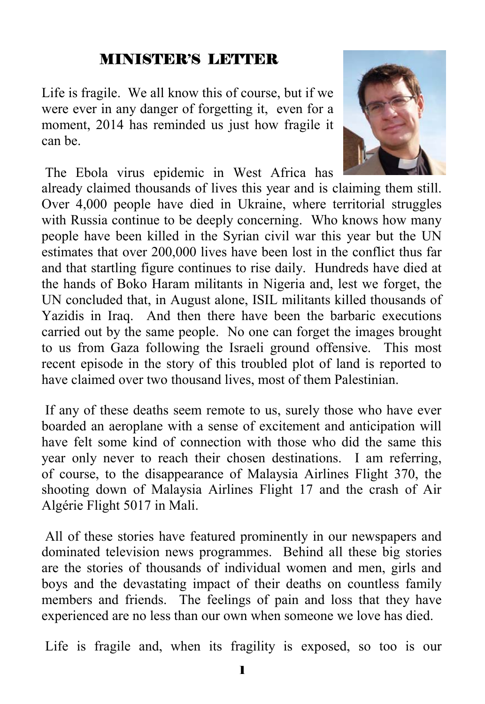#### MINISTER'S LETTER

Life is fragile. We all know this of course, but if we were ever in any danger of forgetting it, even for a moment, 2014 has reminded us just how fragile it can be.



 The Ebola virus epidemic in West Africa has already claimed thousands of lives this year and is claiming them still. Over 4,000 people have died in Ukraine, where territorial struggles with Russia continue to be deeply concerning. Who knows how many people have been killed in the Syrian civil war this year but the UN estimates that over 200,000 lives have been lost in the conflict thus far and that startling figure continues to rise daily. Hundreds have died at the hands of Boko Haram militants in Nigeria and, lest we forget, the UN concluded that, in August alone, ISIL militants killed thousands of Yazidis in Iraq. And then there have been the barbaric executions carried out by the same people. No one can forget the images brought to us from Gaza following the Israeli ground offensive. This most recent episode in the story of this troubled plot of land is reported to have claimed over two thousand lives, most of them Palestinian.

 If any of these deaths seem remote to us, surely those who have ever boarded an aeroplane with a sense of excitement and anticipation will have felt some kind of connection with those who did the same this year only never to reach their chosen destinations. I am referring, of course, to the disappearance of Malaysia Airlines Flight 370, the shooting down of Malaysia Airlines Flight 17 and the crash of Air Algérie Flight 5017 in Mali.

 All of these stories have featured prominently in our newspapers and dominated television news programmes. Behind all these big stories are the stories of thousands of individual women and men, girls and boys and the devastating impact of their deaths on countless family members and friends. The feelings of pain and loss that they have experienced are no less than our own when someone we love has died.

Life is fragile and, when its fragility is exposed, so too is our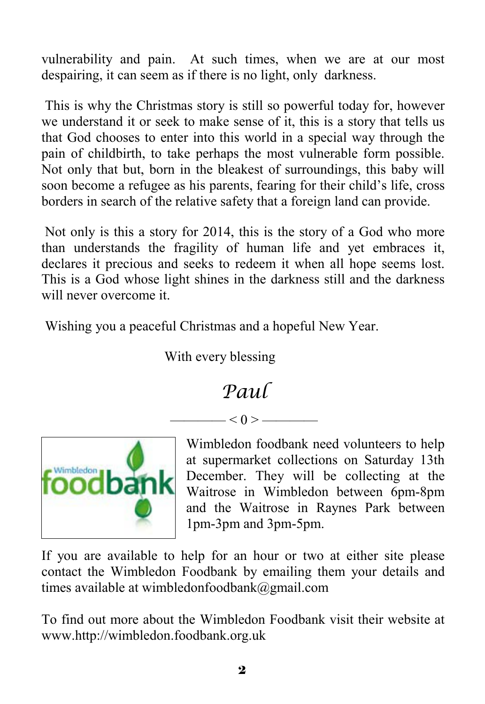vulnerability and pain. At such times, when we are at our most despairing, it can seem as if there is no light, only darkness.

 This is why the Christmas story is still so powerful today for, however we understand it or seek to make sense of it, this is a story that tells us that God chooses to enter into this world in a special way through the pain of childbirth, to take perhaps the most vulnerable form possible. Not only that but, born in the bleakest of surroundings, this baby will soon become a refugee as his parents, fearing for their child's life, cross borders in search of the relative safety that a foreign land can provide.

 Not only is this a story for 2014, this is the story of a God who more than understands the fragility of human life and yet embraces it, declares it precious and seeks to redeem it when all hope seems lost. This is a God whose light shines in the darkness still and the darkness will never overcome it.

Wishing you a peaceful Christmas and a hopeful New Year.

With every blessing

### *Paul*

 $- < 0 > -$ 



Wimbledon foodbank need volunteers to help at supermarket collections on Saturday 13th December. They will be collecting at the Waitrose in Wimbledon between 6pm-8pm and the Waitrose in Raynes Park between 1pm-3pm and 3pm-5pm.

If you are available to help for an hour or two at either site please contact the Wimbledon Foodbank by emailing them your details and times available at wimbledonfoodbank@gmail.com

To find out more about the Wimbledon Foodbank visit their website at www.http://wimbledon.foodbank.org.uk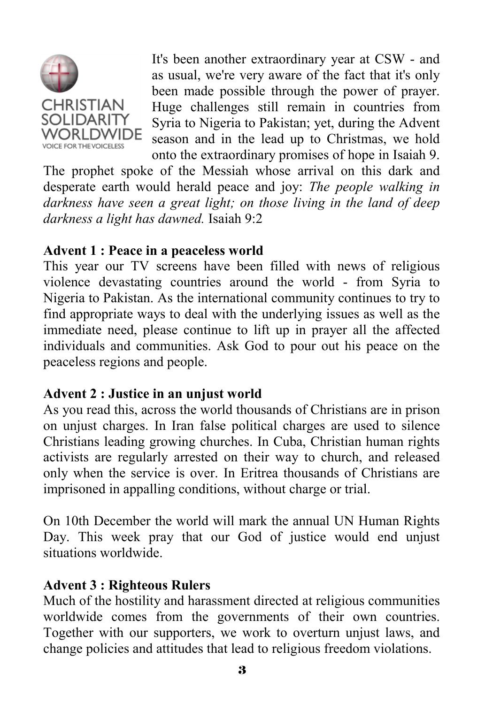

It's been another extraordinary year at CSW - and as usual, we're very aware of the fact that it's only been made possible through the power of prayer. Huge challenges still remain in countries from Syria to Nigeria to Pakistan; yet, during the Advent season and in the lead up to Christmas, we hold onto the extraordinary promises of hope in Isaiah 9.

The prophet spoke of the Messiah whose arrival on this dark and desperate earth would herald peace and joy: *The people walking in darkness have seen a great light; on those living in the land of deep darkness a light has dawned.* Isaiah 9:2

#### **Advent 1 : Peace in a peaceless world**

This year our TV screens have been filled with news of religious violence devastating countries around the world - from Syria to Nigeria to Pakistan. As the international community continues to try to find appropriate ways to deal with the underlying issues as well as the immediate need, please continue to lift up in prayer all the affected individuals and communities. Ask God to pour out his peace on the peaceless regions and people.

#### **Advent 2 : Justice in an unjust world**

As you read this, across the world thousands of Christians are in prison on unjust charges. In Iran false political charges are used to silence Christians leading growing churches. In Cuba, Christian human rights activists are regularly arrested on their way to church, and released only when the service is over. In Eritrea thousands of Christians are imprisoned in appalling conditions, without charge or trial.

On 10th December the world will mark the annual UN Human Rights Day. This week pray that our God of justice would end unjust situations worldwide.

#### **Advent 3 : Righteous Rulers**

Much of the hostility and harassment directed at religious communities worldwide comes from the governments of their own countries. Together with our supporters, we work to overturn unjust laws, and change policies and attitudes that lead to religious freedom violations.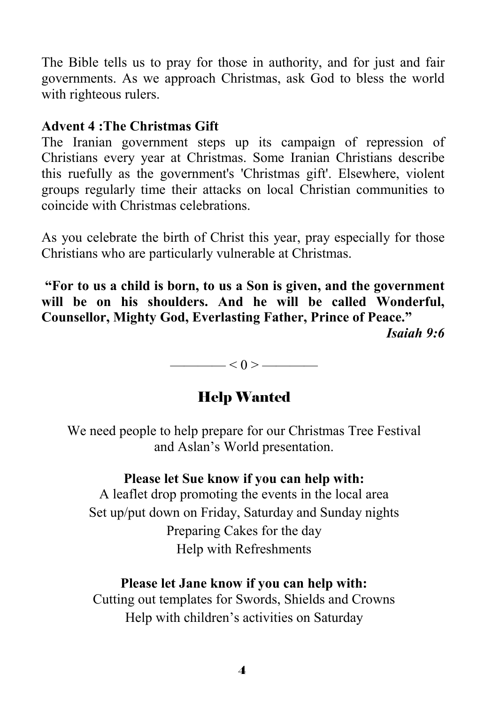The Bible tells us to pray for those in authority, and for just and fair governments. As we approach Christmas, ask God to bless the world with righteous rulers.

#### **Advent 4 :The Christmas Gift**

The Iranian government steps up its campaign of repression of Christians every year at Christmas. Some Iranian Christians describe this ruefully as the government's 'Christmas gift'. Elsewhere, violent groups regularly time their attacks on local Christian communities to coincide with Christmas celebrations.

As you celebrate the birth of Christ this year, pray especially for those Christians who are particularly vulnerable at Christmas.

**"For to us a child is born, to us a Son is given, and the government will be on his shoulders. And he will be called Wonderful, Counsellor, Mighty God, Everlasting Father, Prince of Peace."** 

*Isaiah 9:6*

 $\longrightarrow$   $<$  0  $>$   $\longrightarrow$ 

#### Help Wanted

We need people to help prepare for our Christmas Tree Festival and Aslan's World presentation.

#### **Please let Sue know if you can help with:**

A leaflet drop promoting the events in the local area Set up/put down on Friday, Saturday and Sunday nights Preparing Cakes for the day Help with Refreshments

#### **Please let Jane know if you can help with:**

Cutting out templates for Swords, Shields and Crowns Help with children's activities on Saturday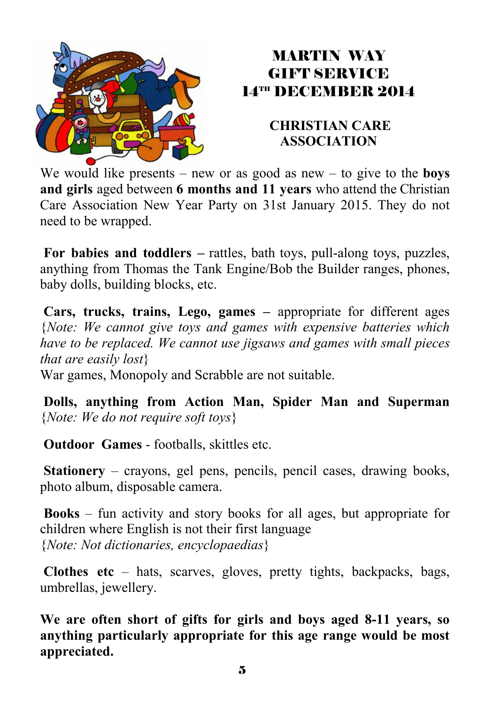

#### MARTIN WAY GIFT SERVICE 14TH DECEMBER 2014

#### **CHRISTIAN CARE ASSOCIATION**

We would like presents – new or as good as new – to give to the **boys and girls** aged between **6 months and 11 years** who attend the Christian Care Association New Year Party on 31st January 2015. They do not need to be wrapped.

**For babies and toddlers –** rattles, bath toys, pull-along toys, puzzles, anything from Thomas the Tank Engine/Bob the Builder ranges, phones, baby dolls, building blocks, etc.

**Cars, trucks, trains, Lego, games –** appropriate for different ages {*Note: We cannot give toys and games with expensive batteries which have to be replaced. We cannot use jigsaws and games with small pieces that are easily lost*}

War games, Monopoly and Scrabble are not suitable.

**Dolls, anything from Action Man, Spider Man and Superman**  {*Note: We do not require soft toys*}

**Outdoor Games** - footballs, skittles etc.

**Stationery** – crayons, gel pens, pencils, pencil cases, drawing books, photo album, disposable camera.

**Books** – fun activity and story books for all ages, but appropriate for children where English is not their first language {*Note: Not dictionaries, encyclopaedias*}

**Clothes etc** – hats, scarves, gloves, pretty tights, backpacks, bags, umbrellas, jewellery.

**We are often short of gifts for girls and boys aged 8-11 years, so anything particularly appropriate for this age range would be most appreciated.**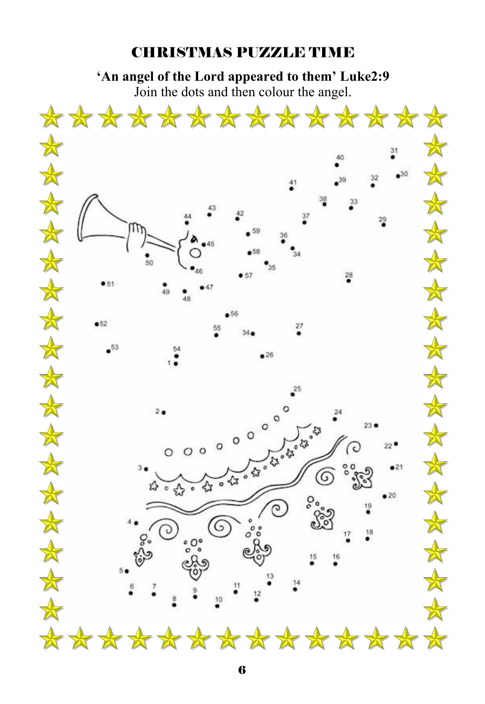#### CHRISTMAS PUZZLE TIME

**'An angel of the Lord appeared to them' Luke2:9**  Join the dots and then colour the angel.

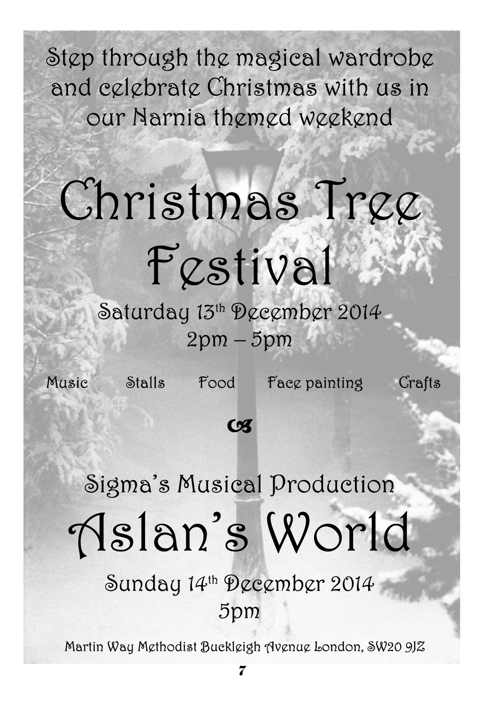Step through the magical wardrobe and celebrate Christmas with us in our Narnia themed weekend

# Christmas Tree Festival

Saturday 13th December 2014 2pm – 5pm

Music Stalls Food Face painting Crafts

### **Cx**

# Sigma's Musical Production Aslan's World

Sunday 14th December 2014 5pm

Martin Way Methodist Buckleigh Avenue London, SW20 9JZ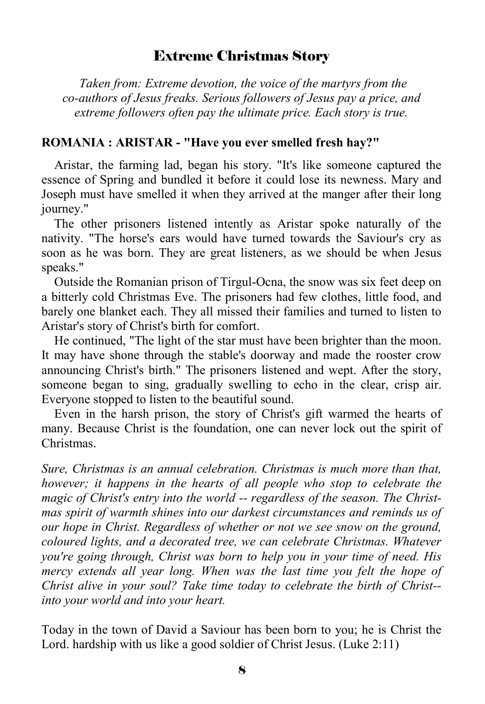#### Extreme Christmas Story

 *Taken from: Extreme devotion, the voice of the martyrs from the co-authors of Jesus freaks. Serious followers of Jesus pay a price, and extreme followers often pay the ultimate price. Each story is true.* 

#### **ROMANIA : ARISTAR - "Have you ever smelled fresh hay?"**

 Aristar, the farming lad, began his story. "It's like someone captured the essence of Spring and bundled it before it could lose its newness. Mary and Joseph must have smelled it when they arrived at the manger after their long journey."

 The other prisoners listened intently as Aristar spoke naturally of the nativity. "The horse's ears would have turned towards the Saviour's cry as soon as he was born. They are great listeners, as we should be when Jesus speaks."

 Outside the Romanian prison of Tirgul-Ocna, the snow was six feet deep on a bitterly cold Christmas Eve. The prisoners had few clothes, little food, and barely one blanket each. They all missed their families and turned to listen to Aristar's story of Christ's birth for comfort.

 He continued, "The light of the star must have been brighter than the moon. It may have shone through the stable's doorway and made the rooster crow announcing Christ's birth." The prisoners listened and wept. After the story, someone began to sing, gradually swelling to echo in the clear, crisp air. Everyone stopped to listen to the beautiful sound.

 Even in the harsh prison, the story of Christ's gift warmed the hearts of many. Because Christ is the foundation, one can never lock out the spirit of Christmas.

*Sure, Christmas is an annual celebration. Christmas is much more than that, however; it happens in the hearts of all people who stop to celebrate the magic of Christ's entry into the world -- regardless of the season. The Christmas spirit of warmth shines into our darkest circumstances and reminds us of our hope in Christ. Regardless of whether or not we see snow on the ground, coloured lights, and a decorated tree, we can celebrate Christmas. Whatever you're going through, Christ was born to help you in your time of need. His mercy extends all year long. When was the last time you felt the hope of Christ alive in your soul? Take time today to celebrate the birth of Christ- into your world and into your heart.* 

Today in the town of David a Saviour has been born to you; he is Christ the Lord. hardship with us like a good soldier of Christ Jesus. (Luke 2:11)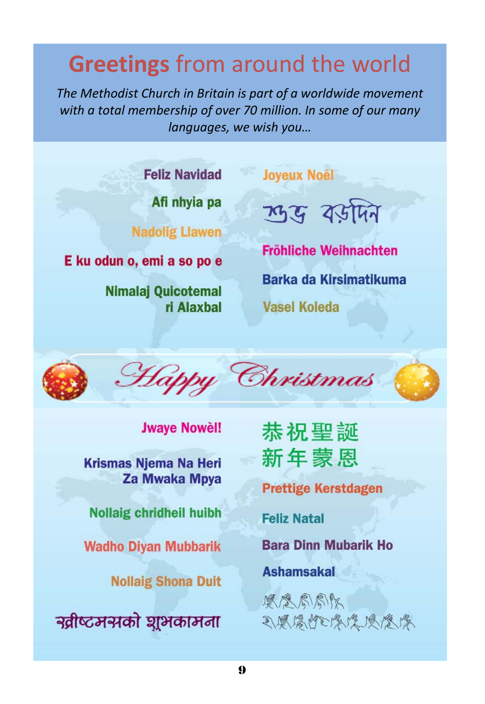# **Greetings** from around the world

*The Methodist Church in Britain is part of a worldwide movement with a total membership of over 70 million. In some of our many languages, we wish you…*

**Feliz Navidad** 

Afi nhyia pa

**Nadolig Llawen** 

E ku odun o, emi a so po e

**Nimalaj Quicotemal** ri Alaxhal

ए युग्रेमिन

**Joyeux Noël** 

**Fröhliche Weihnachten Barka da Kirsimatikuma Vasel Koleda** 



**Jwaye Nowel!** 

**Krismas Niema Na Heri Za Mwaka Mpya** 

**Nollaig chridheil huibh** 

**Wadho Diyan Mubbarik** 

**Nollaig Shona Duit** 

न्रतीष्टमसको घूअकामना

恭祝聖誕 新年蒙恩

**Prettige Kerstdagen** 

**Feliz Natal** 

**Bara Dinn Mubarik Ho** 

**Ashamsakal** 

原念局局队 可愿受性以受受受受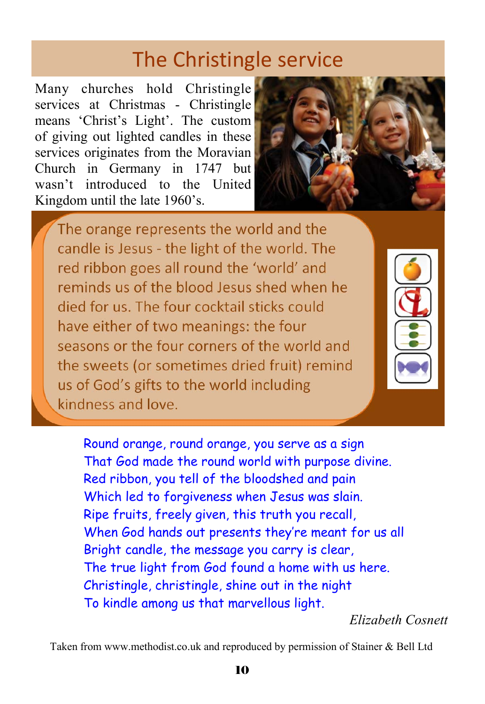## The Christingle service

Many churches hold Christingle services at Christmas - Christingle means 'Christ's Light'. The custom of giving out lighted candles in these services originates from the Moravian Church in Germany in 1747 but wasn't introduced to the United Kingdom until the late 1960's.



The orange represents the world and the candle is Jesus - the light of the world. The red ribbon goes all round the 'world' and reminds us of the blood lesus shed when he died for us. The four cocktail sticks could have either of two meanings: the four seasons or the four corners of the world and the sweets (or sometimes dried fruit) remind us of God's gifts to the world including kindness and love.

 Round orange, round orange, you serve as a sign That God made the round world with purpose divine. Red ribbon, you tell of the bloodshed and pain Which led to forgiveness when Jesus was slain. Ripe fruits, freely given, this truth you recall, When God hands out presents they're meant for us all Bright candle, the message you carry is clear, The true light from God found a home with us here. Christingle, christingle, shine out in the night To kindle among us that marvellous light.

*Elizabeth Cosnett* 

Taken from www.methodist.co.uk and reproduced by permission of Stainer & Bell Ltd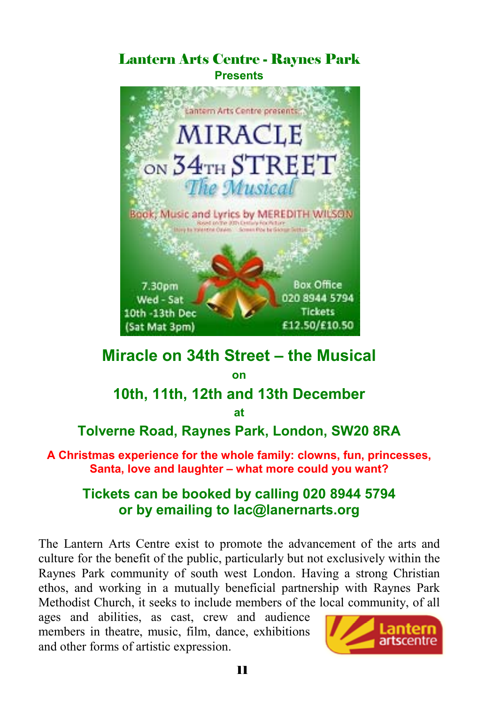#### Lantern Arts Centre - Raynes Park **Presents**



#### **Miracle on 34th Street – the Musical**

**on** 

#### **10th, 11th, 12th and 13th December**

**at** 

#### **Tolverne Road, Raynes Park, London, SW20 8RA**

**A Christmas experience for the whole family: clowns, fun, princesses, Santa, love and laughter – what more could you want?** 

#### **Tickets can be booked by calling 020 8944 5794 or by emailing to lac@lanernarts.org**

The Lantern Arts Centre exist to promote the advancement of the arts and culture for the benefit of the public, particularly but not exclusively within the Raynes Park community of south west London. Having a strong Christian ethos, and working in a mutually beneficial partnership with Raynes Park Methodist Church, it seeks to include members of the local community, of all

ages and abilities, as cast, crew and audience members in theatre, music, film, dance, exhibitions and other forms of artistic expression.

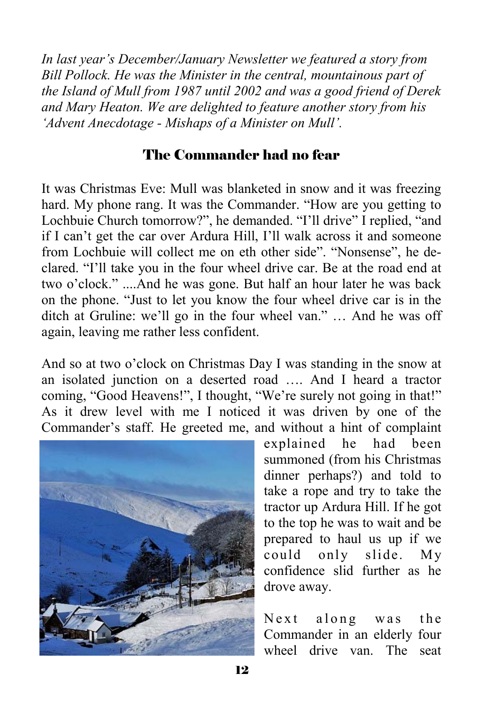*In last year's December/January Newsletter we featured a story from Bill Pollock. He was the Minister in the central, mountainous part of the Island of Mull from 1987 until 2002 and was a good friend of Derek and Mary Heaton. We are delighted to feature another story from his 'Advent Anecdotage - Mishaps of a Minister on Mull'.* 

#### The Commander had no fear

It was Christmas Eve: Mull was blanketed in snow and it was freezing hard. My phone rang. It was the Commander. "How are you getting to Lochbuie Church tomorrow?", he demanded. "I'll drive" I replied, "and if I can't get the car over Ardura Hill, I'll walk across it and someone from Lochbuie will collect me on eth other side". "Nonsense", he declared. "I'll take you in the four wheel drive car. Be at the road end at two o'clock." ....And he was gone. But half an hour later he was back on the phone. "Just to let you know the four wheel drive car is in the ditch at Gruline: we'll go in the four wheel van." … And he was off again, leaving me rather less confident.

And so at two o'clock on Christmas Day I was standing in the snow at an isolated junction on a deserted road …. And I heard a tractor coming, "Good Heavens!", I thought, "We're surely not going in that!" As it drew level with me I noticed it was driven by one of the Commander's staff. He greeted me, and without a hint of complaint



explained he had been summoned (from his Christmas dinner perhaps?) and told to take a rope and try to take the tractor up Ardura Hill. If he got to the top he was to wait and be prepared to haul us up if we could only slide. My confidence slid further as he drove away.

Next along was the Commander in an elderly four wheel drive van. The seat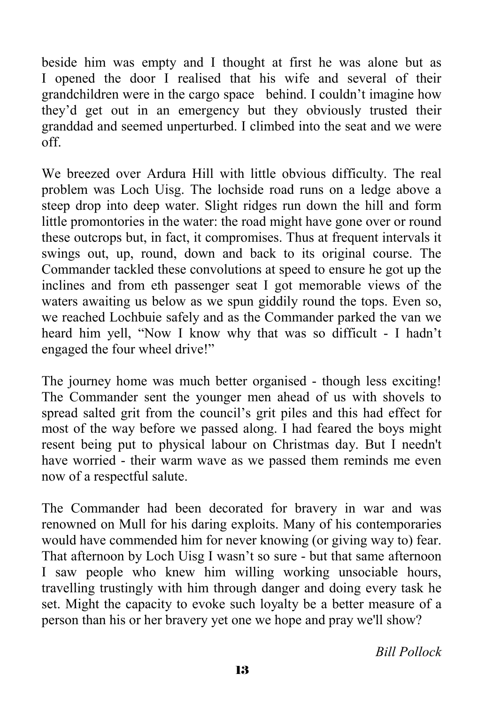beside him was empty and I thought at first he was alone but as I opened the door I realised that his wife and several of their grandchildren were in the cargo space behind. I couldn't imagine how they'd get out in an emergency but they obviously trusted their granddad and seemed unperturbed. I climbed into the seat and we were off.

We breezed over Ardura Hill with little obvious difficulty. The real problem was Loch Uisg. The lochside road runs on a ledge above a steep drop into deep water. Slight ridges run down the hill and form little promontories in the water: the road might have gone over or round these outcrops but, in fact, it compromises. Thus at frequent intervals it swings out, up, round, down and back to its original course. The Commander tackled these convolutions at speed to ensure he got up the inclines and from eth passenger seat I got memorable views of the waters awaiting us below as we spun giddily round the tops. Even so, we reached Lochbuie safely and as the Commander parked the van we heard him yell, "Now I know why that was so difficult - I hadn't engaged the four wheel drive!"

The journey home was much better organised - though less exciting! The Commander sent the younger men ahead of us with shovels to spread salted grit from the council's grit piles and this had effect for most of the way before we passed along. I had feared the boys might resent being put to physical labour on Christmas day. But I needn't have worried - their warm wave as we passed them reminds me even now of a respectful salute.

The Commander had been decorated for bravery in war and was renowned on Mull for his daring exploits. Many of his contemporaries would have commended him for never knowing (or giving way to) fear. That afternoon by Loch Uisg I wasn't so sure - but that same afternoon I saw people who knew him willing working unsociable hours, travelling trustingly with him through danger and doing every task he set. Might the capacity to evoke such loyalty be a better measure of a person than his or her bravery yet one we hope and pray we'll show?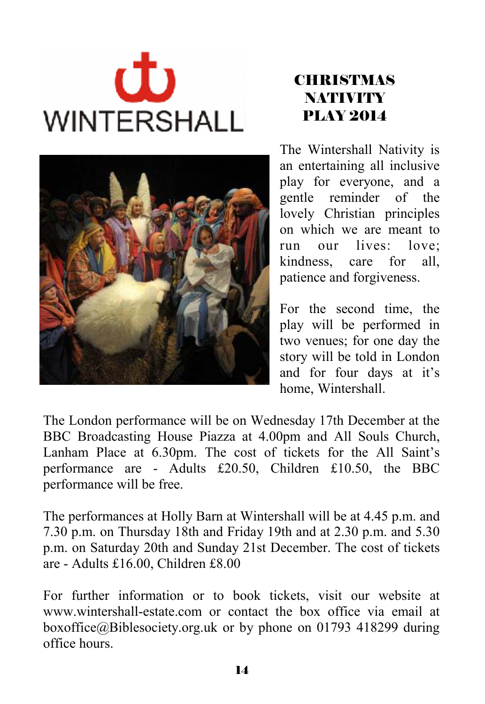# む **WINTERSHALL**



#### **CHRISTMAS NATIVITY** PLAY 2014

The Wintershall Nativity is an entertaining all inclusive play for everyone, and a gentle reminder of the lovely Christian principles on which we are meant to run our lives: love; kindness, care for all, patience and forgiveness.

For the second time, the play will be performed in two venues; for one day the story will be told in London and for four days at it's home, Wintershall.

The London performance will be on Wednesday 17th December at the BBC Broadcasting House Piazza at 4.00pm and All Souls Church, Lanham Place at 6.30pm. The cost of tickets for the All Saint's performance are - Adults £20.50, Children £10.50, the BBC performance will be free.

The performances at Holly Barn at Wintershall will be at 4.45 p.m. and 7.30 p.m. on Thursday 18th and Friday 19th and at 2.30 p.m. and 5.30 p.m. on Saturday 20th and Sunday 21st December. The cost of tickets are - Adults £16.00, Children £8.00

For further information or to book tickets, visit our website at www.wintershall-estate.com or contact the box office via email at boxoffice@Biblesociety.org.uk or by phone on 01793 418299 during office hours.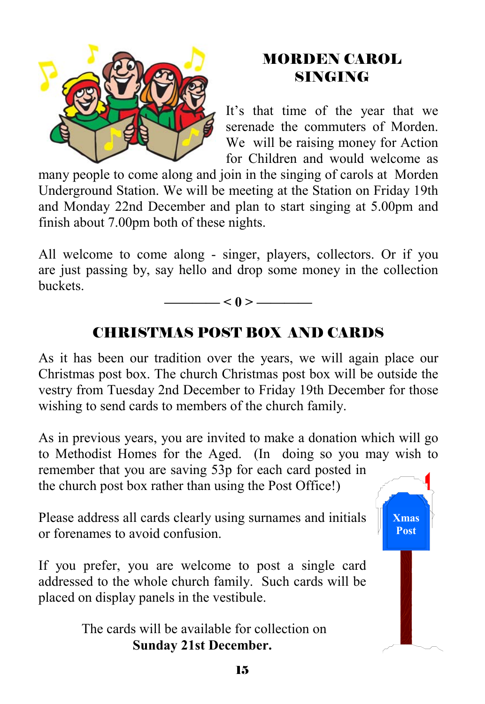

#### MORDEN CAROL SINGING

It's that time of the year that we serenade the commuters of Morden. We will be raising money for Action for Children and would welcome as

many people to come along and join in the singing of carols at Morden Underground Station. We will be meeting at the Station on Friday 19th and Monday 22nd December and plan to start singing at 5.00pm and finish about 7.00pm both of these nights.

All welcome to come along - singer, players, collectors. Or if you are just passing by, say hello and drop some money in the collection buckets.



#### CHRISTMAS POST BOX AND CARDS

As it has been our tradition over the years, we will again place our Christmas post box. The church Christmas post box will be outside the vestry from Tuesday 2nd December to Friday 19th December for those wishing to send cards to members of the church family.

As in previous years, you are invited to make a donation which will go to Methodist Homes for the Aged. (In doing so you may wish to

remember that you are saving 53p for each card posted in the church post box rather than using the Post Office!)

Please address all cards clearly using surnames and initials or forenames to avoid confusion.

If you prefer, you are welcome to post a single card addressed to the whole church family. Such cards will be placed on display panels in the vestibule.

> The cards will be available for collection on **Sunday 21st December.**

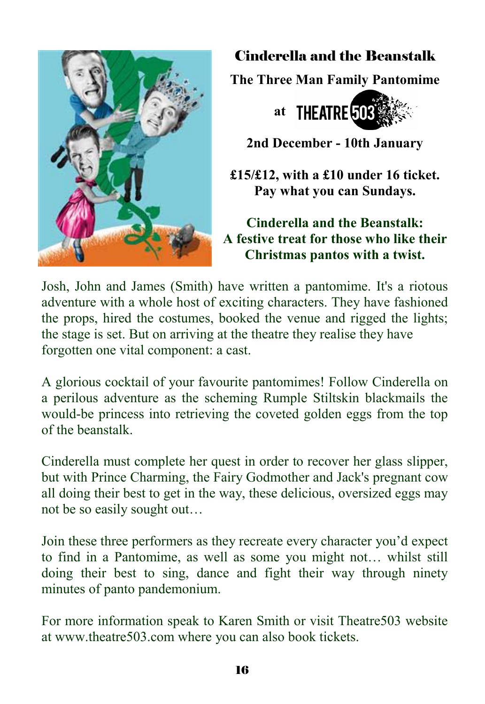

#### Cinderella and the Beanstalk

**The Three Man Family Pantomime** 



**2nd December - 10th January** 

**£15/£12, with a £10 under 16 ticket. Pay what you can Sundays.** 

**Cinderella and the Beanstalk: A festive treat for those who like their Christmas pantos with a twist.** 

Josh, John and James (Smith) have written a pantomime. It's a riotous adventure with a whole host of exciting characters. They have fashioned the props, hired the costumes, booked the venue and rigged the lights; the stage is set. But on arriving at the theatre they realise they have forgotten one vital component: a cast.

A glorious cocktail of your favourite pantomimes! Follow Cinderella on a perilous adventure as the scheming Rumple Stiltskin blackmails the would-be princess into retrieving the coveted golden eggs from the top of the beanstalk.

Cinderella must complete her quest in order to recover her glass slipper, but with Prince Charming, the Fairy Godmother and Jack's pregnant cow all doing their best to get in the way, these delicious, oversized eggs may not be so easily sought out…

Join these three performers as they recreate every character you'd expect to find in a Pantomime, as well as some you might not… whilst still doing their best to sing, dance and fight their way through ninety minutes of panto pandemonium.

For more information speak to Karen Smith or visit Theatre503 website at www.theatre503.com where you can also book tickets.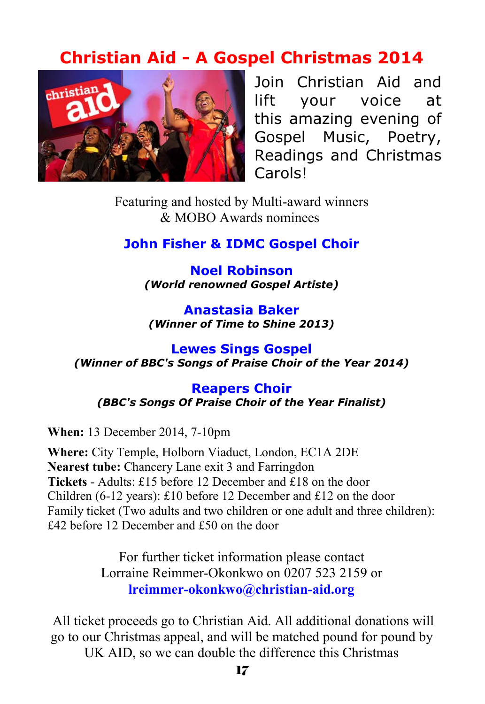#### **Christian Aid - A Gospel Christmas 2014**



Join Christian Aid and lift your voice at this amazing evening of Gospel Music, Poetry, Readings and Christmas Carols!

Featuring and hosted by Multi-award winners & MOBO Awards nominees

#### **John Fisher & IDMC Gospel Choir**

**Noel Robinson** *(World renowned Gospel Artiste)* 

**Anastasia Baker** *(Winner of Time to Shine 2013)* 

**Lewes Sings Gospel** *(Winner of BBC's Songs of Praise Choir of the Year 2014)* 

**Reapers Choir** *(BBC's Songs Of Praise Choir of the Year Finalist)*

**When:** 13 December 2014, 7-10pm

**Where:** City Temple, Holborn Viaduct, London, EC1A 2DE **Nearest tube:** Chancery Lane exit 3 and Farringdon **Tickets** - Adults: £15 before 12 December and £18 on the door Children (6-12 years): £10 before 12 December and £12 on the door Family ticket (Two adults and two children or one adult and three children): £42 before 12 December and £50 on the door

> For further ticket information please contact Lorraine Reimmer-Okonkwo on 0207 523 2159 or **lreimmer-okonkwo@christian-aid.org**

 All ticket proceeds go to Christian Aid. All additional donations will go to our Christmas appeal, and will be matched pound for pound by UK AID, so we can double the difference this Christmas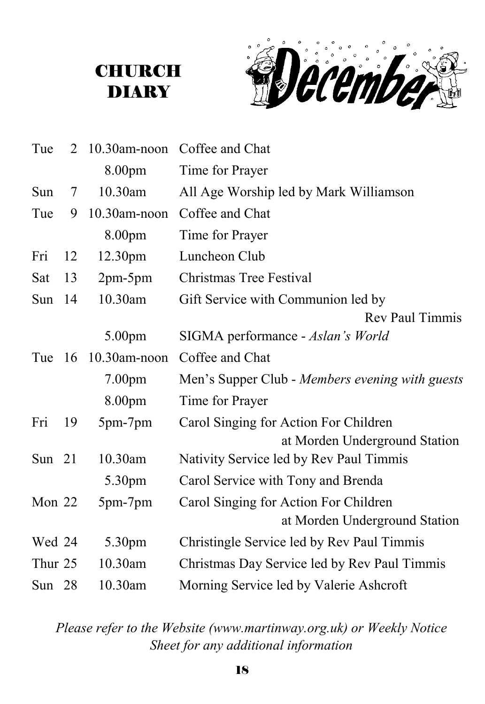#### **CHURCH** DIARY



| Tue      | 2   | $10.30$ am-noon     | Coffee and Chat                                 |
|----------|-----|---------------------|-------------------------------------------------|
|          |     | 8.00pm              | Time for Prayer                                 |
| Sun      | 7   | 10.30am             | All Age Worship led by Mark Williamson          |
| Tue      | 9   | 10.30am-noon        | Coffee and Chat                                 |
|          |     | 8.00pm              | Time for Prayer                                 |
| Fri      | 12  | 12.30 <sub>pm</sub> | Luncheon Club                                   |
| Sat      | 13  | $2pm-5pm$           | <b>Christmas Tree Festival</b>                  |
| Sun      | 14  | 10.30am             | Gift Service with Communion led by              |
|          |     |                     | <b>Rev Paul Timmis</b>                          |
|          |     | 5.00pm              | SIGMA performance - Aslan's World               |
| Tue      | -16 | $10.30$ am-noon     | Coffee and Chat                                 |
|          |     | 7.00 <sub>pm</sub>  | Men's Supper Club - Members evening with guests |
|          |     | 8.00pm              | Time for Prayer                                 |
| Fri      | 19  | 5pm-7pm             | Carol Singing for Action For Children           |
|          |     |                     | at Morden Underground Station                   |
| Sun $21$ |     | 10.30am             | Nativity Service led by Rev Paul Timmis         |
|          |     | 5.30pm              | Carol Service with Tony and Brenda              |
| Mon 22   |     | 5pm-7pm             | Carol Singing for Action For Children           |
|          |     |                     | at Morden Underground Station                   |
| Wed 24   |     | 5.30pm              | Christingle Service led by Rev Paul Timmis      |
| Thur 25  |     | 10.30am             | Christmas Day Service led by Rev Paul Timmis    |
| Sun 28   |     | 10.30am             | Morning Service led by Valerie Ashcroft         |

*Please refer to the Website (www.martinway.org.uk) or Weekly Notice Sheet for any additional information*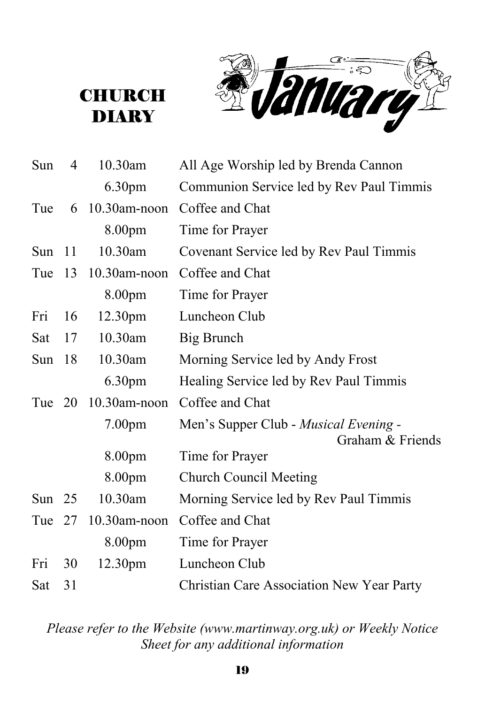**January** 

**CHURCH DIARY** 

| Sun      | 4   | 10.30am         | All Age Worship led by Brenda Cannon                      |
|----------|-----|-----------------|-----------------------------------------------------------|
|          |     | 6.30pm          | Communion Service led by Rev Paul Timmis                  |
| Tue      | 6   | $10.30$ am-noon | Coffee and Chat                                           |
|          |     | 8.00pm          | Time for Prayer                                           |
| Sun      | -11 | 10.30am         | Covenant Service led by Rev Paul Timmis                   |
| Tue      | 13  | 10.30am-noon    | Coffee and Chat                                           |
|          |     | 8.00pm          | Time for Prayer                                           |
| Fri      | 16  | 12.30pm         | Luncheon Club                                             |
| Sat      | 17  | 10.30am         | Big Brunch                                                |
| Sun      | 18  | 10.30am         | Morning Service led by Andy Frost                         |
|          |     | 6.30pm          | Healing Service led by Rev Paul Timmis                    |
| Tue 20   |     | $10.30$ am-noon | Coffee and Chat                                           |
|          |     | 7.00pm          | Men's Supper Club - Musical Evening -<br>Graham & Friends |
|          |     | 8.00pm          | Time for Prayer                                           |
|          |     | 8.00pm          | <b>Church Council Meeting</b>                             |
| Sun $25$ |     | 10.30am         | Morning Service led by Rev Paul Timmis                    |
| Tue      | 27  | $10.30$ am-noon | Coffee and Chat                                           |
|          |     | 8.00pm          | Time for Prayer                                           |
| Fri      | 30  | 12.30pm         | Luncheon Club                                             |
| Sat      | 31  |                 | Christian Care Association New Year Party                 |

*Please refer to the Website (www.martinway.org.uk) or Weekly Notice Sheet for any additional information*